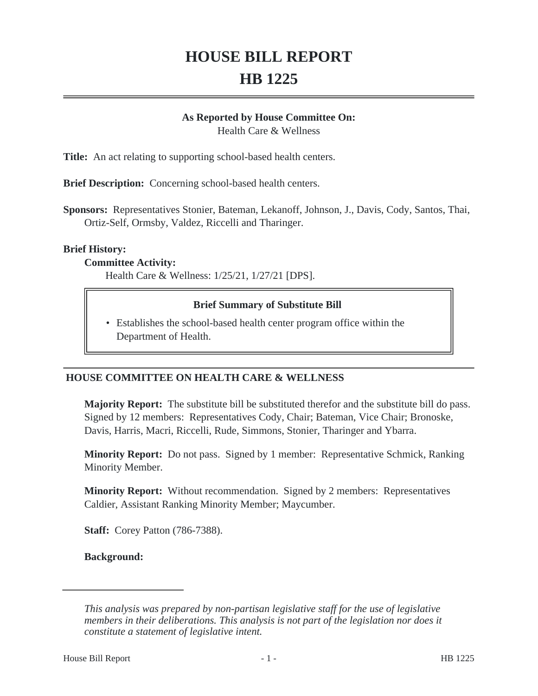# **HOUSE BILL REPORT HB 1225**

#### **As Reported by House Committee On:**

Health Care & Wellness

**Title:** An act relating to supporting school-based health centers.

**Brief Description:** Concerning school-based health centers.

**Sponsors:** Representatives Stonier, Bateman, Lekanoff, Johnson, J., Davis, Cody, Santos, Thai, Ortiz-Self, Ormsby, Valdez, Riccelli and Tharinger.

### **Brief History:**

#### **Committee Activity:**

Health Care & Wellness: 1/25/21, 1/27/21 [DPS].

# **Brief Summary of Substitute Bill**

• Establishes the school-based health center program office within the Department of Health.

# **HOUSE COMMITTEE ON HEALTH CARE & WELLNESS**

**Majority Report:** The substitute bill be substituted therefor and the substitute bill do pass. Signed by 12 members: Representatives Cody, Chair; Bateman, Vice Chair; Bronoske, Davis, Harris, Macri, Riccelli, Rude, Simmons, Stonier, Tharinger and Ybarra.

**Minority Report:** Do not pass. Signed by 1 member: Representative Schmick, Ranking Minority Member.

**Minority Report:** Without recommendation. Signed by 2 members: Representatives Caldier, Assistant Ranking Minority Member; Maycumber.

**Staff:** Corey Patton (786-7388).

**Background:**

*This analysis was prepared by non-partisan legislative staff for the use of legislative members in their deliberations. This analysis is not part of the legislation nor does it constitute a statement of legislative intent.*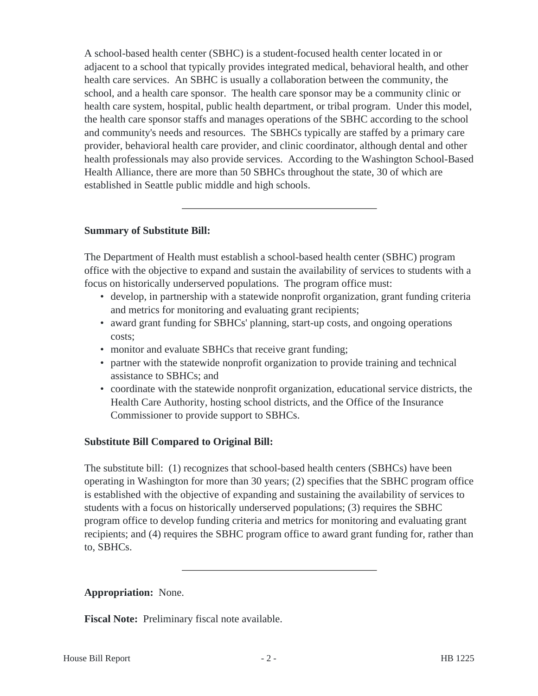A school-based health center (SBHC) is a student-focused health center located in or adjacent to a school that typically provides integrated medical, behavioral health, and other health care services. An SBHC is usually a collaboration between the community, the school, and a health care sponsor. The health care sponsor may be a community clinic or health care system, hospital, public health department, or tribal program. Under this model, the health care sponsor staffs and manages operations of the SBHC according to the school and community's needs and resources. The SBHCs typically are staffed by a primary care provider, behavioral health care provider, and clinic coordinator, although dental and other health professionals may also provide services. According to the Washington School-Based Health Alliance, there are more than 50 SBHCs throughout the state, 30 of which are established in Seattle public middle and high schools.

# **Summary of Substitute Bill:**

The Department of Health must establish a school-based health center (SBHC) program office with the objective to expand and sustain the availability of services to students with a focus on historically underserved populations. The program office must:

- develop, in partnership with a statewide nonprofit organization, grant funding criteria and metrics for monitoring and evaluating grant recipients;
- award grant funding for SBHCs' planning, start-up costs, and ongoing operations costs;
- monitor and evaluate SBHCs that receive grant funding;
- partner with the statewide nonprofit organization to provide training and technical assistance to SBHCs; and
- coordinate with the statewide nonprofit organization, educational service districts, the Health Care Authority, hosting school districts, and the Office of the Insurance Commissioner to provide support to SBHCs.

# **Substitute Bill Compared to Original Bill:**

The substitute bill: (1) recognizes that school-based health centers (SBHCs) have been operating in Washington for more than 30 years; (2) specifies that the SBHC program office is established with the objective of expanding and sustaining the availability of services to students with a focus on historically underserved populations; (3) requires the SBHC program office to develop funding criteria and metrics for monitoring and evaluating grant recipients; and (4) requires the SBHC program office to award grant funding for, rather than to, SBHCs.

# **Appropriation:** None.

**Fiscal Note:** Preliminary fiscal note available.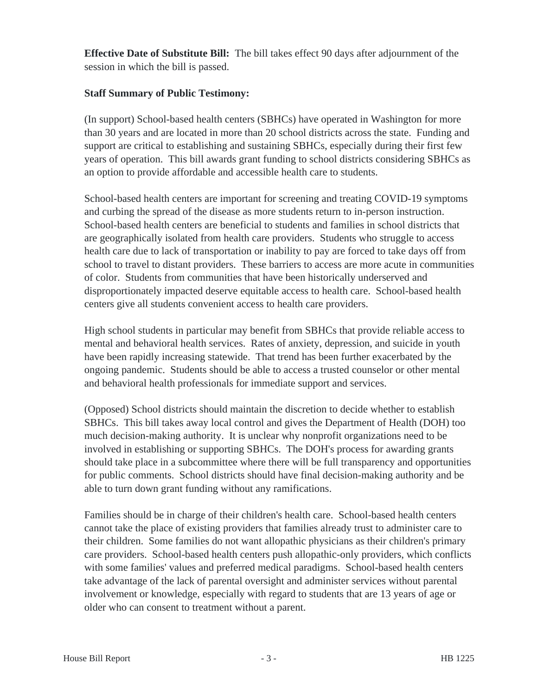**Effective Date of Substitute Bill:** The bill takes effect 90 days after adjournment of the session in which the bill is passed.

# **Staff Summary of Public Testimony:**

(In support) School-based health centers (SBHCs) have operated in Washington for more than 30 years and are located in more than 20 school districts across the state. Funding and support are critical to establishing and sustaining SBHCs, especially during their first few years of operation. This bill awards grant funding to school districts considering SBHCs as an option to provide affordable and accessible health care to students.

School-based health centers are important for screening and treating COVID-19 symptoms and curbing the spread of the disease as more students return to in-person instruction. School-based health centers are beneficial to students and families in school districts that are geographically isolated from health care providers. Students who struggle to access health care due to lack of transportation or inability to pay are forced to take days off from school to travel to distant providers. These barriers to access are more acute in communities of color. Students from communities that have been historically underserved and disproportionately impacted deserve equitable access to health care. School-based health centers give all students convenient access to health care providers.

High school students in particular may benefit from SBHCs that provide reliable access to mental and behavioral health services. Rates of anxiety, depression, and suicide in youth have been rapidly increasing statewide. That trend has been further exacerbated by the ongoing pandemic. Students should be able to access a trusted counselor or other mental and behavioral health professionals for immediate support and services.

(Opposed) School districts should maintain the discretion to decide whether to establish SBHCs. This bill takes away local control and gives the Department of Health (DOH) too much decision-making authority. It is unclear why nonprofit organizations need to be involved in establishing or supporting SBHCs. The DOH's process for awarding grants should take place in a subcommittee where there will be full transparency and opportunities for public comments. School districts should have final decision-making authority and be able to turn down grant funding without any ramifications.

Families should be in charge of their children's health care. School-based health centers cannot take the place of existing providers that families already trust to administer care to their children. Some families do not want allopathic physicians as their children's primary care providers. School-based health centers push allopathic-only providers, which conflicts with some families' values and preferred medical paradigms. School-based health centers take advantage of the lack of parental oversight and administer services without parental involvement or knowledge, especially with regard to students that are 13 years of age or older who can consent to treatment without a parent.